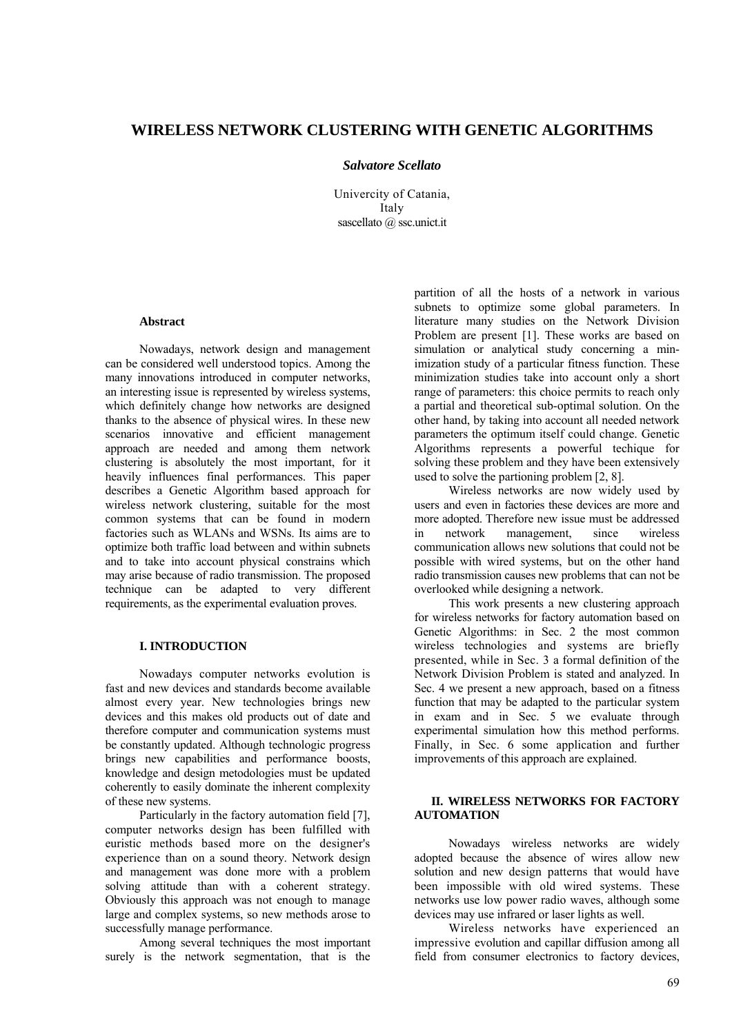# **WIRELESS NETWORK CLUSTERING WITH GENETIC ALGORITHMS**

#### *Salvatore Scellato*

Univercity of Catania, Italy sascellato @ ssc.unict.it

# **Abstract**

Nowadays, network design and management can be considered well understood topics. Among the many innovations introduced in computer networks, an interesting issue is represented by wireless systems, which definitely change how networks are designed thanks to the absence of physical wires. In these new scenarios innovative and efficient management approach are needed and among them network clustering is absolutely the most important, for it heavily influences final performances. This paper describes a Genetic Algorithm based approach for wireless network clustering, suitable for the most common systems that can be found in modern factories such as WLANs and WSNs. Its aims are to optimize both traffic load between and within subnets and to take into account physical constrains which may arise because of radio transmission. The proposed technique can be adapted to very different requirements, as the experimental evaluation proves.

# **I. INTRODUCTION**

Nowadays computer networks evolution is fast and new devices and standards become available almost every year. New technologies brings new devices and this makes old products out of date and therefore computer and communication systems must be constantly updated. Although technologic progress brings new capabilities and performance boosts, knowledge and design metodologies must be updated coherently to easily dominate the inherent complexity of these new systems.

Particularly in the factory automation field [7], computer networks design has been fulfilled with euristic methods based more on the designer's experience than on a sound theory. Network design and management was done more with a problem solving attitude than with a coherent strategy. Obviously this approach was not enough to manage large and complex systems, so new methods arose to successfully manage performance.

Among several techniques the most important surely is the network segmentation, that is the

partition of all the hosts of a network in various subnets to optimize some global parameters. In literature many studies on the Network Division Problem are present [1]. These works are based on simulation or analytical study concerning a minimization study of a particular fitness function. These minimization studies take into account only a short range of parameters: this choice permits to reach only a partial and theoretical sub-optimal solution. On the other hand, by taking into account all needed network parameters the optimum itself could change. Genetic Algorithms represents a powerful techique for solving these problem and they have been extensively used to solve the partioning problem [2, 8].

Wireless networks are now widely used by users and even in factories these devices are more and more adopted. Therefore new issue must be addressed in network management, since wireless communication allows new solutions that could not be possible with wired systems, but on the other hand radio transmission causes new problems that can not be overlooked while designing a network.

This work presents a new clustering approach for wireless networks for factory automation based on Genetic Algorithms: in Sec. 2 the most common wireless technologies and systems are briefly presented, while in Sec. 3 a formal definition of the Network Division Problem is stated and analyzed. In Sec. 4 we present a new approach, based on a fitness function that may be adapted to the particular system in exam and in Sec. 5 we evaluate through experimental simulation how this method performs. Finally, in Sec. 6 some application and further improvements of this approach are explained.

# **II. WIRELESS NETWORKS FOR FACTORY AUTOMATION**

Nowadays wireless networks are widely adopted because the absence of wires allow new solution and new design patterns that would have been impossible with old wired systems. These networks use low power radio waves, although some devices may use infrared or laser lights as well.

Wireless networks have experienced an impressive evolution and capillar diffusion among all field from consumer electronics to factory devices,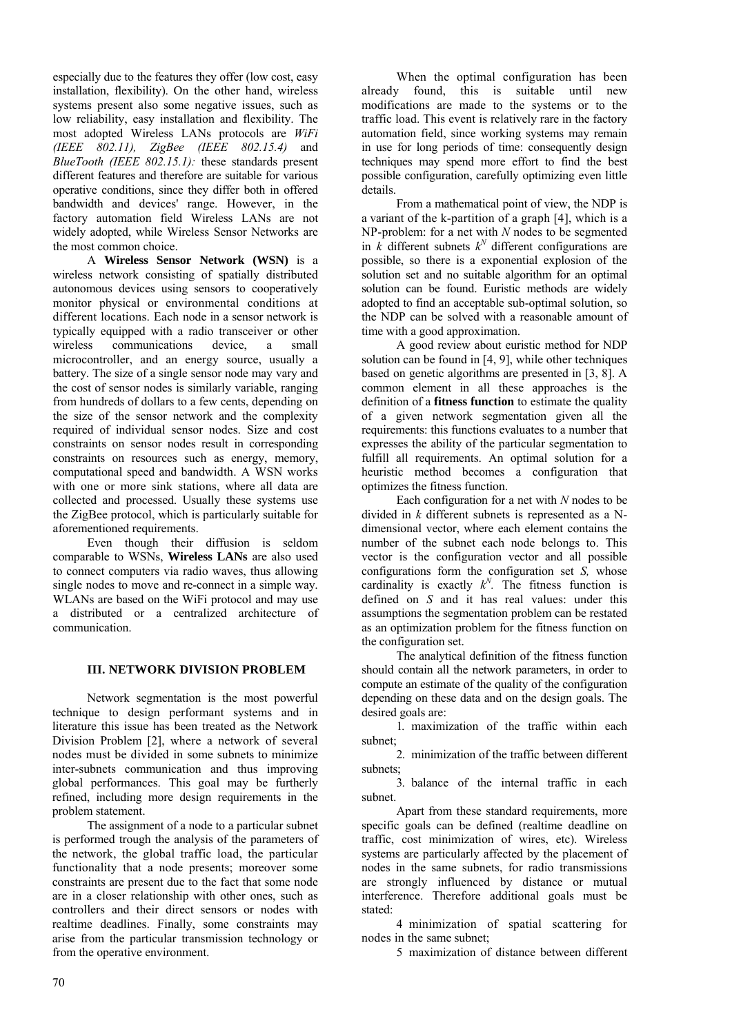especially due to the features they offer (low cost, easy installation, flexibility). On the other hand, wireless systems present also some negative issues, such as low reliability, easy installation and flexibility. The most adopted Wireless LANs protocols are *WiFi (IEEE 802.11), ZigBee (IEEE 802.15.4)* and *BlueTooth (IEEE 802.15.1):* these standards present different features and therefore are suitable for various operative conditions, since they differ both in offered bandwidth and devices' range. However, in the factory automation field Wireless LANs are not widely adopted, while Wireless Sensor Networks are the most common choice.

A **Wireless Sensor Network (WSN)** is a wireless network consisting of spatially distributed autonomous devices using sensors to cooperatively monitor physical or environmental conditions at different locations. Each node in a sensor network is typically equipped with a radio transceiver or other wireless communications device, a small microcontroller, and an energy source, usually a battery. The size of a single sensor node may vary and the cost of sensor nodes is similarly variable, ranging from hundreds of dollars to a few cents, depending on the size of the sensor network and the complexity required of individual sensor nodes. Size and cost constraints on sensor nodes result in corresponding constraints on resources such as energy, memory, computational speed and bandwidth. A WSN works with one or more sink stations, where all data are collected and processed. Usually these systems use the ZigBee protocol, which is particularly suitable for aforementioned requirements.

Even though their diffusion is seldom comparable to WSNs, **Wireless LANs** are also used to connect computers via radio waves, thus allowing single nodes to move and re-connect in a simple way. WLANs are based on the WiFi protocol and may use a distributed or a centralized architecture of communication.

# **III. NETWORK DIVISION PROBLEM**

Network segmentation is the most powerful technique to design performant systems and in literature this issue has been treated as the Network Division Problem [2], where a network of several nodes must be divided in some subnets to minimize inter-subnets communication and thus improving global performances. This goal may be furtherly refined, including more design requirements in the problem statement.

The assignment of a node to a particular subnet is performed trough the analysis of the parameters of the network, the global traffic load, the particular functionality that a node presents; moreover some constraints are present due to the fact that some node are in a closer relationship with other ones, such as controllers and their direct sensors or nodes with realtime deadlines. Finally, some constraints may arise from the particular transmission technology or from the operative environment.

When the optimal configuration has been already found, this is suitable until new modifications are made to the systems or to the traffic load. This event is relatively rare in the factory automation field, since working systems may remain in use for long periods of time: consequently design techniques may spend more effort to find the best possible configuration, carefully optimizing even little details.

From a mathematical point of view, the NDP is a variant of the k-partition of a graph [4], which is a NP-problem: for a net with *N* nodes to be segmented in  $k$  different subnets  $k^N$  different configurations are possible, so there is a exponential explosion of the solution set and no suitable algorithm for an optimal solution can be found. Euristic methods are widely adopted to find an acceptable sub-optimal solution, so the NDP can be solved with a reasonable amount of time with a good approximation.

A good review about euristic method for NDP solution can be found in [4, 9], while other techniques based on genetic algorithms are presented in [3, 8]. A common element in all these approaches is the definition of a **fitness function** to estimate the quality of a given network segmentation given all the requirements: this functions evaluates to a number that expresses the ability of the particular segmentation to fulfill all requirements. An optimal solution for a heuristic method becomes a configuration that optimizes the fitness function.

Each configuration for a net with *N* nodes to be divided in *k* different subnets is represented as a Ndimensional vector, where each element contains the number of the subnet each node belongs to. This vector is the configuration vector and all possible configurations form the configuration set *S,* whose cardinality is exactly  $k^N$ . The fitness function is defined on *S* and it has real values: under this assumptions the segmentation problem can be restated as an optimization problem for the fitness function on the configuration set.

The analytical definition of the fitness function should contain all the network parameters, in order to compute an estimate of the quality of the configuration depending on these data and on the design goals. The desired goals are:

1. maximization of the traffic within each subnet;

2. minimization of the traffic between different subnets;

3. balance of the internal traffic in each subnet.

Apart from these standard requirements, more specific goals can be defined (realtime deadline on traffic, cost minimization of wires, etc). Wireless systems are particularly affected by the placement of nodes in the same subnets, for radio transmissions are strongly influenced by distance or mutual interference. Therefore additional goals must be stated:

4 minimization of spatial scattering for nodes in the same subnet;

5 maximization of distance between different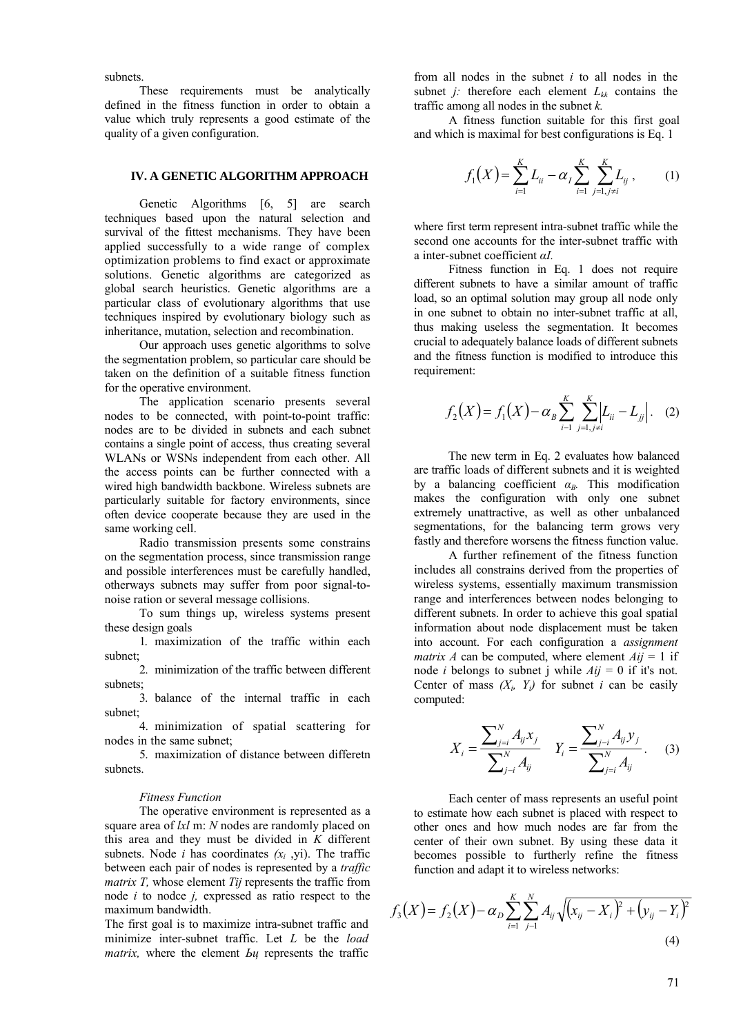subnets.

These requirements must be analytically defined in the fitness function in order to obtain a value which truly represents a good estimate of the quality of a given configuration.

#### **IV. A GENETIC ALGORITHM APPROACH**

Genetic Algorithms [6, 5] are search techniques based upon the natural selection and survival of the fittest mechanisms. They have been applied successfully to a wide range of complex optimization problems to find exact or approximate solutions. Genetic algorithms are categorized as global search heuristics. Genetic algorithms are a particular class of evolutionary algorithms that use techniques inspired by evolutionary biology such as inheritance, mutation, selection and recombination.

Our approach uses genetic algorithms to solve the segmentation problem, so particular care should be taken on the definition of a suitable fitness function for the operative environment.

The application scenario presents several nodes to be connected, with point-to-point traffic: nodes are to be divided in subnets and each subnet contains a single point of access, thus creating several WLANs or WSNs independent from each other. All the access points can be further connected with a wired high bandwidth backbone. Wireless subnets are particularly suitable for factory environments, since often device cooperate because they are used in the same working cell.

Radio transmission presents some constrains on the segmentation process, since transmission range and possible interferences must be carefully handled, otherways subnets may suffer from poor signal-tonoise ration or several message collisions.

To sum things up, wireless systems present these design goals

1. maximization of the traffic within each subnet;

2. minimization of the traffic between different subnets;

3. balance of the internal traffic in each subnet;

4. minimization of spatial scattering for nodes in the same subnet;

5. maximization of distance between differetn subnets.

#### *Fitness Function*

The operative environment is represented as a square area of *lxl* m: *N* nodes are randomly placed on this area and they must be divided in *K* different subnets. Node *i* has coordinates  $(x_i, y_i)$ . The traffic between each pair of nodes is represented by a *traffic matrix T*, whose element *Tij* represents the traffic from node *i* to nodce *j,* expressed as ratio respect to the maximum bandwidth.

The first goal is to maximize intra-subnet traffic and minimize inter-subnet traffic. Let *L* be the *load matrix,* where the element *Ьц* represents the traffic

from all nodes in the subnet *i* to all nodes in the subnet *j*: therefore each element  $L_{kk}$  contains the traffic among all nodes in the subnet *k.*

A fitness function suitable for this first goal and which is maximal for best configurations is Eq. 1

$$
f_1(X) = \sum_{i=1}^K L_{ii} - \alpha_I \sum_{i=1}^K \sum_{j=1, j \neq i}^K L_{ij}, \qquad (1)
$$

where first term represent intra-subnet traffic while the second one accounts for the inter-subnet traffic with a inter-subnet coefficient *αI.*

Fitness function in Eq. 1 does not require different subnets to have a similar amount of traffic load, so an optimal solution may group all node only in one subnet to obtain no inter-subnet traffic at all, thus making useless the segmentation. It becomes crucial to adequately balance loads of different subnets and the fitness function is modified to introduce this requirement:

$$
f_2(X) = f_1(X) - \alpha_B \sum_{i=1}^{K} \sum_{j=1, j \neq i}^{K} \left| L_{ii} - L_{jj} \right|.
$$
 (2)

The new term in Eq. 2 evaluates how balanced are traffic loads of different subnets and it is weighted by a balancing coefficient *α<sub>B</sub>*. This modification makes the configuration with only one subnet extremely unattractive, as well as other unbalanced segmentations, for the balancing term grows very fastly and therefore worsens the fitness function value.

A further refinement of the fitness function includes all constrains derived from the properties of wireless systems, essentially maximum transmission range and interferences between nodes belonging to different subnets. In order to achieve this goal spatial information about node displacement must be taken into account. For each configuration a *assignment matrix A* can be computed, where element  $Aij = 1$  if node *i* belongs to subnet j while  $Aij = 0$  if it's not. Center of mass  $(X_i, Y_i)$  for subnet *i* can be easily computed:

$$
X_{i} = \frac{\sum_{j=i}^{N} A_{ij} x_{j}}{\sum_{j-i}^{N} A_{ij}} \quad Y_{i} = \frac{\sum_{j=i}^{N} A_{ij} y_{j}}{\sum_{j=i}^{N} A_{ij}}.
$$
 (3)

Each center of mass represents an useful point to estimate how each subnet is placed with respect to other ones and how much nodes are far from the center of their own subnet. By using these data it becomes possible to furtherly refine the fitness function and adapt it to wireless networks:

$$
f_3(X) = f_2(X) - \alpha_D \sum_{i=1}^K \sum_{j=1}^N A_{ij} \sqrt{(x_{ij} - X_i)^2 + (y_{ij} - Y_i)^2}
$$
\n(4)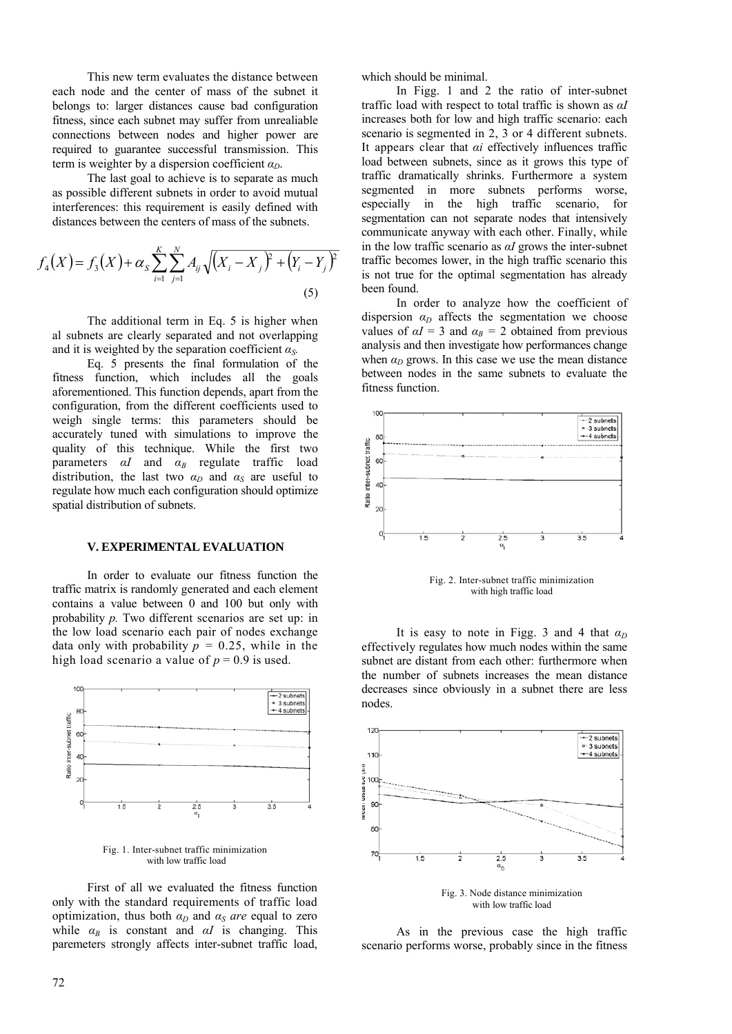This new term evaluates the distance between each node and the center of mass of the subnet it belongs to: larger distances cause bad configuration fitness, since each subnet may suffer from unrealiable connections between nodes and higher power are required to guarantee successful transmission. This term is weighter by a dispersion coefficient  $\alpha_D$ .

The last goal to achieve is to separate as much as possible different subnets in order to avoid mutual interferences: this requirement is easily defined with distances between the centers of mass of the subnets.

$$
f_4(X) = f_3(X) + \alpha_S \sum_{i=1}^{K} \sum_{j=1}^{N} A_{ij} \sqrt{(X_i - X_j)^2 + (Y_i - Y_j)^2}
$$
\n(5)

The additional term in Eq. 5 is higher when al subnets are clearly separated and not overlapping and it is weighted by the separation coefficient  $\alpha_s$ .

Eq. 5 presents the final formulation of the fitness function, which includes all the goals aforementioned. This function depends, apart from the configuration, from the different coefficients used to weigh single terms: this parameters should be accurately tuned with simulations to improve the quality of this technique. While the first two parameters *αI* and *α<sup>B</sup>* regulate traffic load distribution, the last two  $\alpha_D$  and  $\alpha_S$  are useful to regulate how much each configuration should optimize spatial distribution of subnets.

### **V. EXPERIMENTAL EVALUATION**

In order to evaluate our fitness function the traffic matrix is randomly generated and each element contains a value between 0 and 100 but only with probability *p.* Two different scenarios are set up: in the low load scenario each pair of nodes exchange data only with probability  $p = 0.25$ , while in the high load scenario a value of  $p = 0.9$  is used.



Fig. 1. Inter-subnet traffic minimization with low traffic load

First of all we evaluated the fitness function only with the standard requirements of traffic load optimization, thus both  $\alpha_D$  and  $\alpha_S$  *are* equal to zero while  $\alpha_B$  is constant and  $\alpha I$  is changing. This paremeters strongly affects inter-subnet traffic load,

which should be minimal.

In Figg. 1 and 2 the ratio of inter-subnet traffic load with respect to total traffic is shown as *αI*  increases both for low and high traffic scenario: each scenario is segmented in 2, 3 or 4 different subnets. It appears clear that *αi* effectively influences traffic load between subnets, since as it grows this type of traffic dramatically shrinks. Furthermore a system segmented in more subnets performs worse, especially in the high traffic scenario, for segmentation can not separate nodes that intensively communicate anyway with each other. Finally, while in the low traffic scenario as *αI* grows the inter-subnet traffic becomes lower, in the high traffic scenario this is not true for the optimal segmentation has already been found.

In order to analyze how the coefficient of dispersion  $\alpha_D$  affects the segmentation we choose values of  $\alpha I = 3$  and  $\alpha_B = 2$  obtained from previous analysis and then investigate how performances change when  $\alpha_D$  grows. In this case we use the mean distance between nodes in the same subnets to evaluate the fitness function.



Fig. 2. Inter-subnet traffic minimization with high traffic load

It is easy to note in Figg. 3 and 4 that  $\alpha_D$ effectively regulates how much nodes within the same subnet are distant from each other: furthermore when the number of subnets increases the mean distance decreases since obviously in a subnet there are less nodes.



with low traffic load

As in the previous case the high traffic scenario performs worse, probably since in the fitness